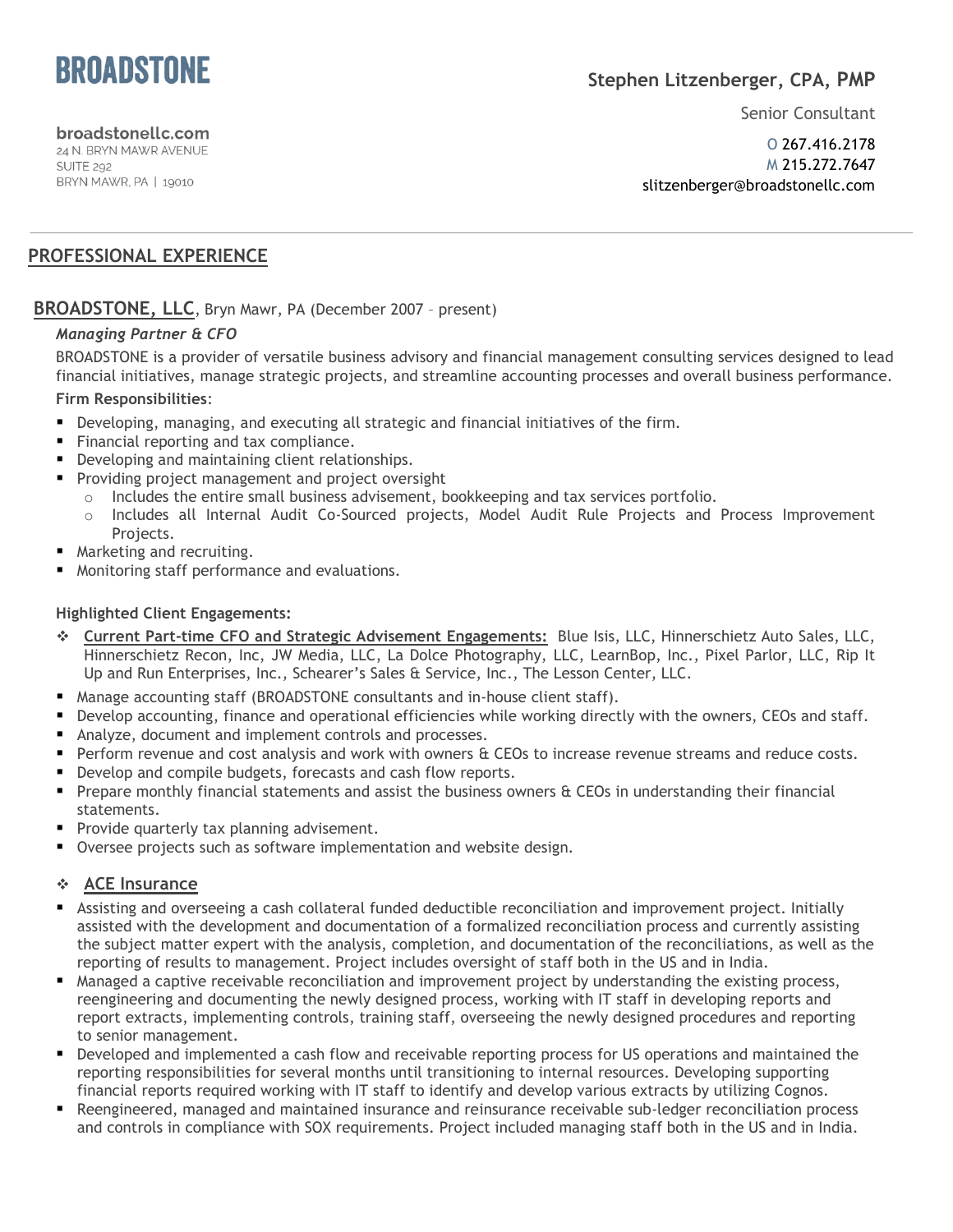

## **Stephen Litzenberger, CPA, PMP**

Senior Consultant

broadstonellc.com 24 N. BRYN MAWR AVENUE

**SUITE 292** BRYN MAWR, PA | 19010

O 267.416.2178 M 215.272.7647 slitzenberger@broadstonellc.com

## **PROFESSIONAL EXPERIENCE**

### **BROADSTONE, LLC**, Bryn Mawr, PA (December 2007 – present)

### *Managing Partner & CFO*

BROADSTONE is a provider of versatile business advisory and financial management consulting services designed to lead financial initiatives, manage strategic projects, and streamline accounting processes and overall business performance.

### **Firm Responsibilities**:

- Developing, managing, and executing all strategic and financial initiatives of the firm.
- Financial reporting and tax compliance.
- **Developing and maintaining client relationships.**
- **Providing project management and project oversight** 
	- $\circ$  Includes the entire small business advisement, bookkeeping and tax services portfolio.
	- o Includes all Internal Audit Co-Sourced projects, Model Audit Rule Projects and Process Improvement Projects.
- **Marketing and recruiting.**
- Monitoring staff performance and evaluations.

#### **Highlighted Client Engagements:**

- **Current Part-time CFO and Strategic Advisement Engagements:** Blue Isis, LLC, Hinnerschietz Auto Sales, LLC, Hinnerschietz Recon, Inc, JW Media, LLC, La Dolce Photography, LLC, LearnBop, Inc., Pixel Parlor, LLC, Rip It Up and Run Enterprises, Inc., Schearer's Sales & Service, Inc., The Lesson Center, LLC.
- Manage accounting staff (BROADSTONE consultants and in-house client staff).
- Develop accounting, finance and operational efficiencies while working directly with the owners, CEOs and staff.
- Analyze, document and implement controls and processes.
- Perform revenue and cost analysis and work with owners & CEOs to increase revenue streams and reduce costs.
- Develop and compile budgets, forecasts and cash flow reports.
- Prepare monthly financial statements and assist the business owners & CEOs in understanding their financial statements.
- **Provide quarterly tax planning advisement.**
- **Oversee projects such as software implementation and website design.**

### **ACE Insurance**

- Assisting and overseeing a cash collateral funded deductible reconciliation and improvement project. Initially assisted with the development and documentation of a formalized reconciliation process and currently assisting the subject matter expert with the analysis, completion, and documentation of the reconciliations, as well as the reporting of results to management. Project includes oversight of staff both in the US and in India.
- Managed a captive receivable reconciliation and improvement project by understanding the existing process, reengineering and documenting the newly designed process, working with IT staff in developing reports and report extracts, implementing controls, training staff, overseeing the newly designed procedures and reporting to senior management.
- Developed and implemented a cash flow and receivable reporting process for US operations and maintained the reporting responsibilities for several months until transitioning to internal resources. Developing supporting financial reports required working with IT staff to identify and develop various extracts by utilizing Cognos.
- Reengineered, managed and maintained insurance and reinsurance receivable sub-ledger reconciliation process and controls in compliance with SOX requirements. Project included managing staff both in the US and in India.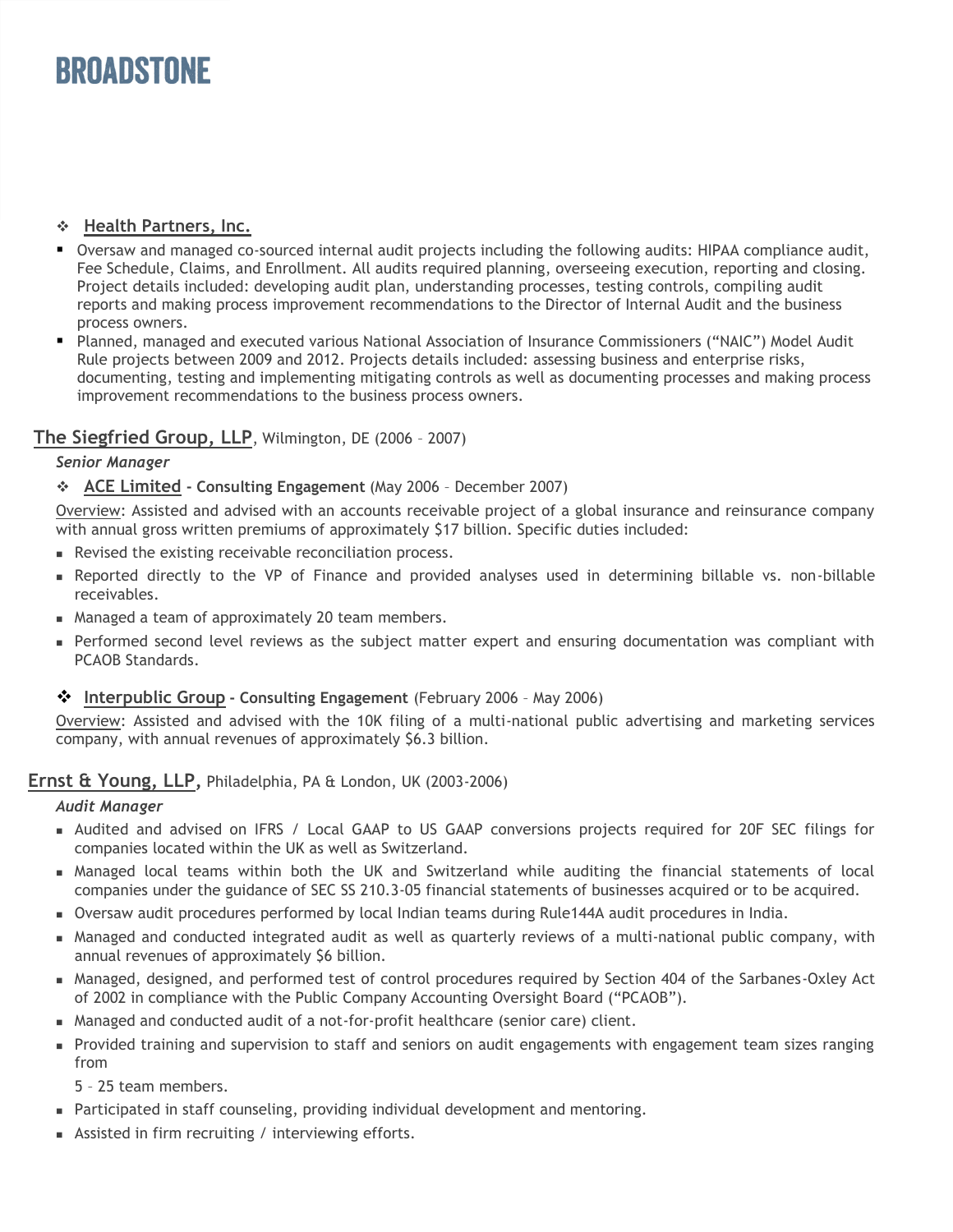# *BROADSTONE*

## **Health Partners, Inc.**

- Oversaw and managed co-sourced internal audit projects including the following audits: HIPAA compliance audit, Fee Schedule, Claims, and Enrollment. All audits required planning, overseeing execution, reporting and closing. Project details included: developing audit plan, understanding processes, testing controls, compiling audit reports and making process improvement recommendations to the Director of Internal Audit and the business process owners.
- Planned, managed and executed various National Association of Insurance Commissioners ("NAIC") Model Audit Rule projects between 2009 and 2012. Projects details included: assessing business and enterprise risks, documenting, testing and implementing mitigating controls as well as documenting processes and making process improvement recommendations to the business process owners.

## **The Siegfried Group, LLP**, Wilmington, DE (2006 – 2007)

### *Senior Manager*

**ACE Limited - Consulting Engagement** (May 2006 – December 2007)

Overview: Assisted and advised with an accounts receivable project of a global insurance and reinsurance company with annual gross written premiums of approximately \$17 billion. Specific duties included:

- Revised the existing receivable reconciliation process.
- Reported directly to the VP of Finance and provided analyses used in determining billable vs. non-billable receivables.
- Managed a team of approximately 20 team members.
- **Performed second level reviews as the subject matter expert and ensuring documentation was compliant with** PCAOB Standards.

### **❖** Interpublic Group - Consulting Engagement (February 2006 - May 2006)

Overview: Assisted and advised with the 10K filing of a multi-national public advertising and marketing services company, with annual revenues of approximately \$6.3 billion.

## **Ernst & Young, LLP,** Philadelphia, PA & London, UK (2003-2006)

### *Audit Manager*

- Audited and advised on IFRS / Local GAAP to US GAAP conversions projects required for 20F SEC filings for companies located within the UK as well as Switzerland.
- Managed local teams within both the UK and Switzerland while auditing the financial statements of local companies under the guidance of SEC SS 210.3-05 financial statements of businesses acquired or to be acquired.
- Oversaw audit procedures performed by local Indian teams during Rule144A audit procedures in India.
- Managed and conducted integrated audit as well as quarterly reviews of a multi-national public company, with annual revenues of approximately \$6 billion.
- Managed, designed, and performed test of control procedures required by Section 404 of the Sarbanes-Oxley Act of 2002 in compliance with the Public Company Accounting Oversight Board ("PCAOB").
- Managed and conducted audit of a not-for-profit healthcare (senior care) client.
- Provided training and supervision to staff and seniors on audit engagements with engagement team sizes ranging from

5 – 25 team members.

- Participated in staff counseling, providing individual development and mentoring.
- Assisted in firm recruiting / interviewing efforts.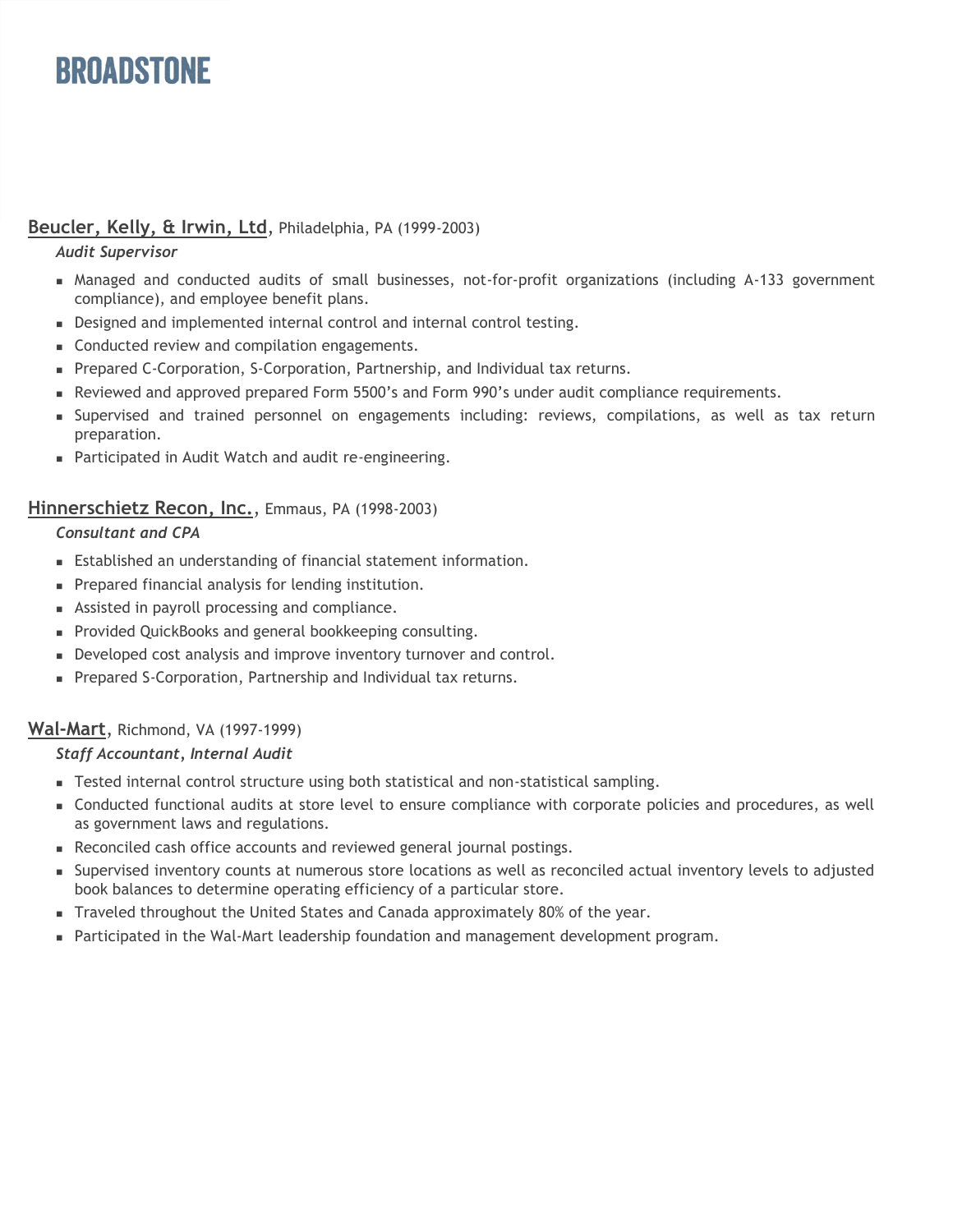# **BROADSTONE**

## **Beucler, Kelly, & Irwin, Ltd**, Philadelphia, PA (1999-2003)

### *Audit Supervisor*

- Managed and conducted audits of small businesses, not-for-profit organizations (including A-133 government compliance), and employee benefit plans.
- Designed and implemented internal control and internal control testing.
- Conducted review and compilation engagements.
- Prepared C-Corporation, S-Corporation, Partnership, and Individual tax returns.
- Reviewed and approved prepared Form 5500's and Form 990's under audit compliance requirements.
- Supervised and trained personnel on engagements including: reviews, compilations, as well as tax return preparation.
- Participated in Audit Watch and audit re-engineering.

## **Hinnerschietz Recon, Inc.**, Emmaus, PA (1998-2003)

### *Consultant and CPA*

- Established an understanding of financial statement information.
- **Prepared financial analysis for lending institution.**
- Assisted in payroll processing and compliance.
- **Provided QuickBooks and general bookkeeping consulting.**
- Developed cost analysis and improve inventory turnover and control.
- Prepared S-Corporation, Partnership and Individual tax returns.

## **Wal-Mart**, Richmond, VA (1997-1999)

## *Staff Accountant, Internal Audit*

- Tested internal control structure using both statistical and non-statistical sampling.
- Conducted functional audits at store level to ensure compliance with corporate policies and procedures, as well as government laws and regulations.
- Reconciled cash office accounts and reviewed general journal postings.
- Supervised inventory counts at numerous store locations as well as reconciled actual inventory levels to adjusted book balances to determine operating efficiency of a particular store.
- Traveled throughout the United States and Canada approximately 80% of the year.
- **Participated in the Wal-Mart leadership foundation and management development program.**